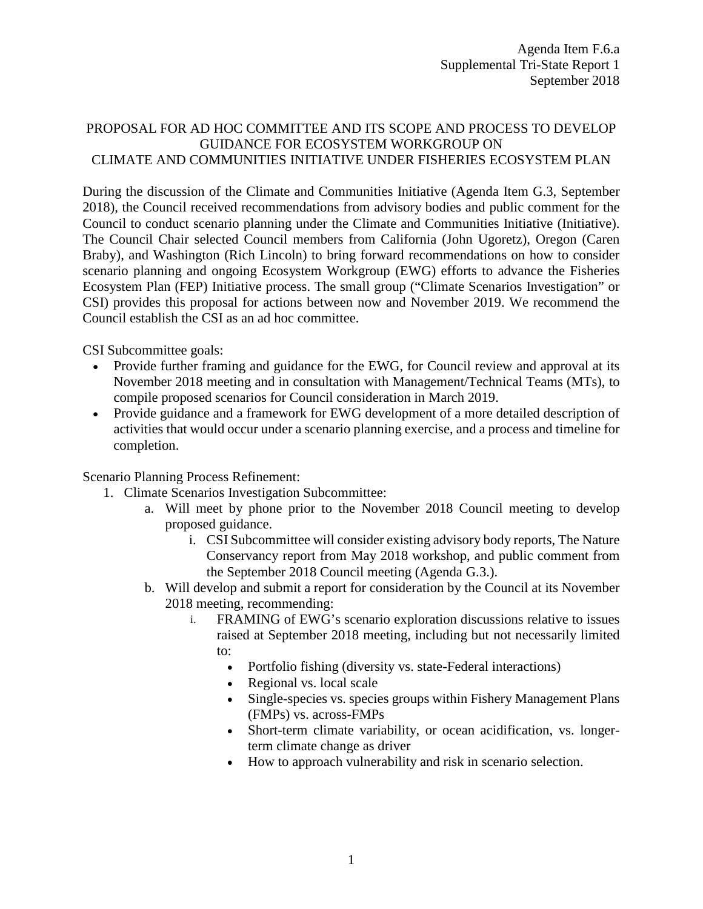## PROPOSAL FOR AD HOC COMMITTEE AND ITS SCOPE AND PROCESS TO DEVELOP GUIDANCE FOR ECOSYSTEM WORKGROUP ON CLIMATE AND COMMUNITIES INITIATIVE UNDER FISHERIES ECOSYSTEM PLAN

During the discussion of the Climate and Communities Initiative (Agenda Item G.3, September 2018), the Council received recommendations from advisory bodies and public comment for the Council to conduct scenario planning under the Climate and Communities Initiative (Initiative). The Council Chair selected Council members from California (John Ugoretz), Oregon (Caren Braby), and Washington (Rich Lincoln) to bring forward recommendations on how to consider scenario planning and ongoing Ecosystem Workgroup (EWG) efforts to advance the Fisheries Ecosystem Plan (FEP) Initiative process. The small group ("Climate Scenarios Investigation" or CSI) provides this proposal for actions between now and November 2019. We recommend the Council establish the CSI as an ad hoc committee.

CSI Subcommittee goals:

- Provide further framing and guidance for the EWG, for Council review and approval at its November 2018 meeting and in consultation with Management/Technical Teams (MTs), to compile proposed scenarios for Council consideration in March 2019.
- Provide guidance and a framework for EWG development of a more detailed description of activities that would occur under a scenario planning exercise, and a process and timeline for completion.

Scenario Planning Process Refinement:

- 1. Climate Scenarios Investigation Subcommittee:
	- a. Will meet by phone prior to the November 2018 Council meeting to develop proposed guidance.
		- i. CSI Subcommittee will consider existing advisory body reports, The Nature Conservancy report from May 2018 workshop, and public comment from the September 2018 Council meeting (Agenda G.3.).
	- b. Will develop and submit a report for consideration by the Council at its November 2018 meeting, recommending:
		- i. FRAMING of EWG's scenario exploration discussions relative to issues raised at September 2018 meeting, including but not necessarily limited to:
			- Portfolio fishing (diversity vs. state-Federal interactions)
			- Regional vs. local scale
			- Single-species vs. species groups within Fishery Management Plans (FMPs) vs. across-FMPs
			- Short-term climate variability, or ocean acidification, vs. longerterm climate change as driver
			- How to approach vulnerability and risk in scenario selection.